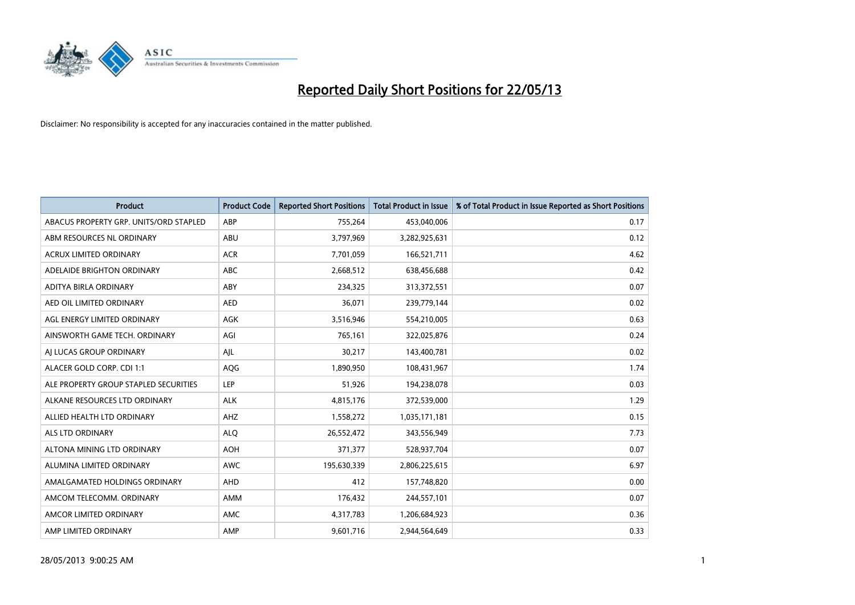

| <b>Product</b>                         | <b>Product Code</b> | <b>Reported Short Positions</b> | <b>Total Product in Issue</b> | % of Total Product in Issue Reported as Short Positions |
|----------------------------------------|---------------------|---------------------------------|-------------------------------|---------------------------------------------------------|
| ABACUS PROPERTY GRP. UNITS/ORD STAPLED | ABP                 | 755,264                         | 453,040,006                   | 0.17                                                    |
| ABM RESOURCES NL ORDINARY              | ABU                 | 3,797,969                       | 3,282,925,631                 | 0.12                                                    |
| <b>ACRUX LIMITED ORDINARY</b>          | <b>ACR</b>          | 7,701,059                       | 166,521,711                   | 4.62                                                    |
| ADELAIDE BRIGHTON ORDINARY             | <b>ABC</b>          | 2,668,512                       | 638,456,688                   | 0.42                                                    |
| <b>ADITYA BIRLA ORDINARY</b>           | ABY                 | 234,325                         | 313,372,551                   | 0.07                                                    |
| AED OIL LIMITED ORDINARY               | <b>AED</b>          | 36,071                          | 239,779,144                   | 0.02                                                    |
| AGL ENERGY LIMITED ORDINARY            | AGK                 | 3,516,946                       | 554,210,005                   | 0.63                                                    |
| AINSWORTH GAME TECH. ORDINARY          | AGI                 | 765,161                         | 322,025,876                   | 0.24                                                    |
| AI LUCAS GROUP ORDINARY                | AJL                 | 30,217                          | 143,400,781                   | 0.02                                                    |
| ALACER GOLD CORP. CDI 1:1              | AQG                 | 1,890,950                       | 108,431,967                   | 1.74                                                    |
| ALE PROPERTY GROUP STAPLED SECURITIES  | <b>LEP</b>          | 51,926                          | 194,238,078                   | 0.03                                                    |
| ALKANE RESOURCES LTD ORDINARY          | <b>ALK</b>          | 4,815,176                       | 372,539,000                   | 1.29                                                    |
| ALLIED HEALTH LTD ORDINARY             | AHZ                 | 1,558,272                       | 1,035,171,181                 | 0.15                                                    |
| <b>ALS LTD ORDINARY</b>                | <b>ALO</b>          | 26,552,472                      | 343,556,949                   | 7.73                                                    |
| ALTONA MINING LTD ORDINARY             | <b>AOH</b>          | 371,377                         | 528,937,704                   | 0.07                                                    |
| ALUMINA LIMITED ORDINARY               | <b>AWC</b>          | 195,630,339                     | 2,806,225,615                 | 6.97                                                    |
| AMALGAMATED HOLDINGS ORDINARY          | AHD                 | 412                             | 157,748,820                   | 0.00                                                    |
| AMCOM TELECOMM. ORDINARY               | <b>AMM</b>          | 176,432                         | 244,557,101                   | 0.07                                                    |
| AMCOR LIMITED ORDINARY                 | AMC                 | 4,317,783                       | 1,206,684,923                 | 0.36                                                    |
| AMP LIMITED ORDINARY                   | AMP                 | 9,601,716                       | 2,944,564,649                 | 0.33                                                    |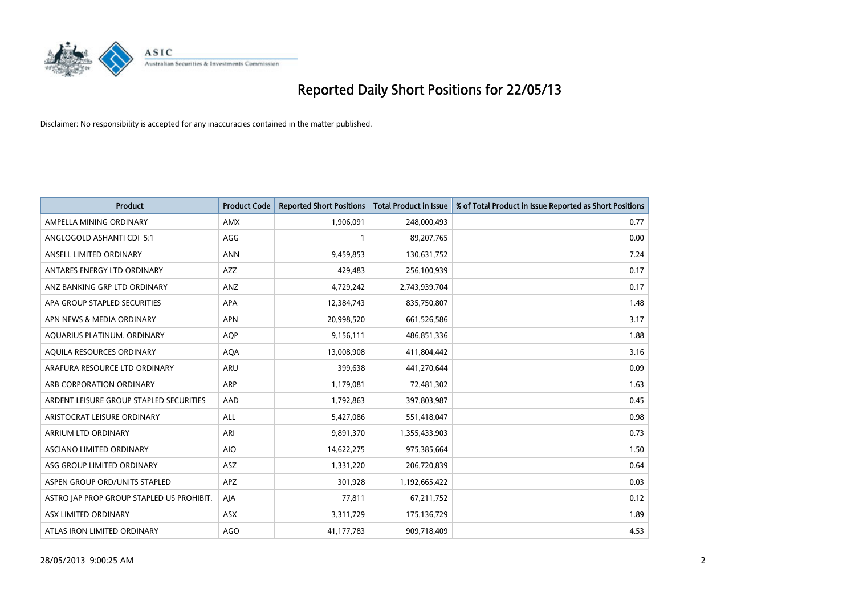

| <b>Product</b>                            | <b>Product Code</b> | <b>Reported Short Positions</b> | <b>Total Product in Issue</b> | % of Total Product in Issue Reported as Short Positions |
|-------------------------------------------|---------------------|---------------------------------|-------------------------------|---------------------------------------------------------|
| AMPELLA MINING ORDINARY                   | <b>AMX</b>          | 1,906,091                       | 248,000,493                   | 0.77                                                    |
| ANGLOGOLD ASHANTI CDI 5:1                 | AGG                 |                                 | 89,207,765                    | 0.00                                                    |
| ANSELL LIMITED ORDINARY                   | <b>ANN</b>          | 9,459,853                       | 130,631,752                   | 7.24                                                    |
| ANTARES ENERGY LTD ORDINARY               | <b>AZZ</b>          | 429,483                         | 256,100,939                   | 0.17                                                    |
| ANZ BANKING GRP LTD ORDINARY              | ANZ                 | 4,729,242                       | 2,743,939,704                 | 0.17                                                    |
| APA GROUP STAPLED SECURITIES              | APA                 | 12,384,743                      | 835,750,807                   | 1.48                                                    |
| APN NEWS & MEDIA ORDINARY                 | <b>APN</b>          | 20,998,520                      | 661,526,586                   | 3.17                                                    |
| AQUARIUS PLATINUM. ORDINARY               | AQP                 | 9,156,111                       | 486,851,336                   | 1.88                                                    |
| AQUILA RESOURCES ORDINARY                 | <b>AQA</b>          | 13,008,908                      | 411,804,442                   | 3.16                                                    |
| ARAFURA RESOURCE LTD ORDINARY             | <b>ARU</b>          | 399,638                         | 441,270,644                   | 0.09                                                    |
| ARB CORPORATION ORDINARY                  | <b>ARP</b>          | 1,179,081                       | 72,481,302                    | 1.63                                                    |
| ARDENT LEISURE GROUP STAPLED SECURITIES   | AAD                 | 1,792,863                       | 397,803,987                   | 0.45                                                    |
| ARISTOCRAT LEISURE ORDINARY               | <b>ALL</b>          | 5,427,086                       | 551,418,047                   | 0.98                                                    |
| ARRIUM LTD ORDINARY                       | ARI                 | 9,891,370                       | 1,355,433,903                 | 0.73                                                    |
| ASCIANO LIMITED ORDINARY                  | <b>AIO</b>          | 14,622,275                      | 975,385,664                   | 1.50                                                    |
| ASG GROUP LIMITED ORDINARY                | <b>ASZ</b>          | 1,331,220                       | 206,720,839                   | 0.64                                                    |
| ASPEN GROUP ORD/UNITS STAPLED             | APZ                 | 301,928                         | 1,192,665,422                 | 0.03                                                    |
| ASTRO JAP PROP GROUP STAPLED US PROHIBIT. | AJA                 | 77,811                          | 67,211,752                    | 0.12                                                    |
| <b>ASX LIMITED ORDINARY</b>               | <b>ASX</b>          | 3,311,729                       | 175,136,729                   | 1.89                                                    |
| ATLAS IRON LIMITED ORDINARY               | AGO                 | 41,177,783                      | 909,718,409                   | 4.53                                                    |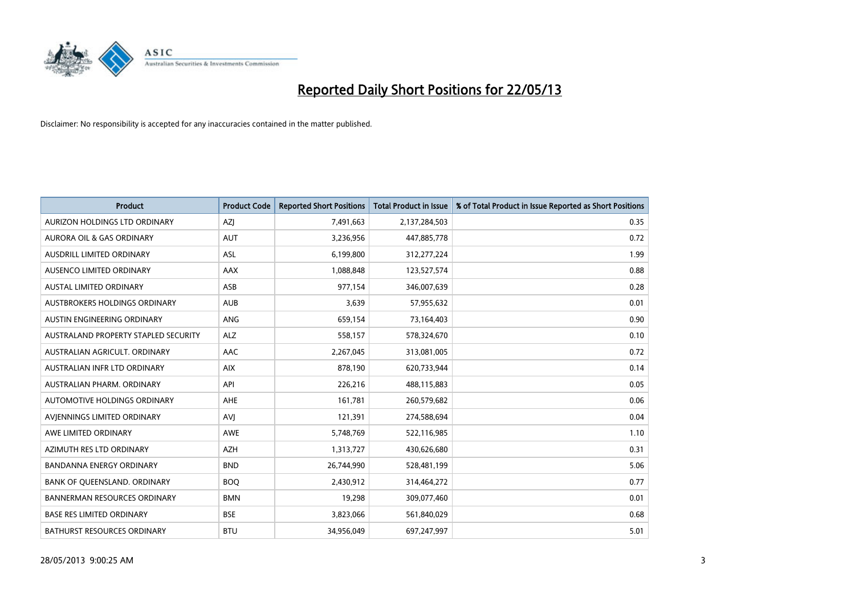

| <b>Product</b>                       | <b>Product Code</b> | <b>Reported Short Positions</b> | <b>Total Product in Issue</b> | % of Total Product in Issue Reported as Short Positions |
|--------------------------------------|---------------------|---------------------------------|-------------------------------|---------------------------------------------------------|
| AURIZON HOLDINGS LTD ORDINARY        | AZJ                 | 7,491,663                       | 2,137,284,503                 | 0.35                                                    |
| AURORA OIL & GAS ORDINARY            | <b>AUT</b>          | 3,236,956                       | 447,885,778                   | 0.72                                                    |
| <b>AUSDRILL LIMITED ORDINARY</b>     | <b>ASL</b>          | 6,199,800                       | 312,277,224                   | 1.99                                                    |
| AUSENCO LIMITED ORDINARY             | AAX                 | 1,088,848                       | 123,527,574                   | 0.88                                                    |
| <b>AUSTAL LIMITED ORDINARY</b>       | ASB                 | 977,154                         | 346,007,639                   | 0.28                                                    |
| AUSTBROKERS HOLDINGS ORDINARY        | <b>AUB</b>          | 3,639                           | 57,955,632                    | 0.01                                                    |
| AUSTIN ENGINEERING ORDINARY          | <b>ANG</b>          | 659,154                         | 73,164,403                    | 0.90                                                    |
| AUSTRALAND PROPERTY STAPLED SECURITY | <b>ALZ</b>          | 558,157                         | 578,324,670                   | 0.10                                                    |
| AUSTRALIAN AGRICULT, ORDINARY        | AAC                 | 2,267,045                       | 313,081,005                   | 0.72                                                    |
| AUSTRALIAN INFR LTD ORDINARY         | <b>AIX</b>          | 878,190                         | 620,733,944                   | 0.14                                                    |
| AUSTRALIAN PHARM. ORDINARY           | API                 | 226,216                         | 488,115,883                   | 0.05                                                    |
| AUTOMOTIVE HOLDINGS ORDINARY         | AHE                 | 161,781                         | 260,579,682                   | 0.06                                                    |
| AVIENNINGS LIMITED ORDINARY          | AVI                 | 121,391                         | 274,588,694                   | 0.04                                                    |
| AWE LIMITED ORDINARY                 | <b>AWE</b>          | 5,748,769                       | 522,116,985                   | 1.10                                                    |
| AZIMUTH RES LTD ORDINARY             | <b>AZH</b>          | 1,313,727                       | 430,626,680                   | 0.31                                                    |
| BANDANNA ENERGY ORDINARY             | <b>BND</b>          | 26,744,990                      | 528,481,199                   | 5.06                                                    |
| BANK OF QUEENSLAND. ORDINARY         | <b>BOQ</b>          | 2,430,912                       | 314,464,272                   | 0.77                                                    |
| <b>BANNERMAN RESOURCES ORDINARY</b>  | <b>BMN</b>          | 19,298                          | 309,077,460                   | 0.01                                                    |
| <b>BASE RES LIMITED ORDINARY</b>     | <b>BSE</b>          | 3,823,066                       | 561,840,029                   | 0.68                                                    |
| <b>BATHURST RESOURCES ORDINARY</b>   | <b>BTU</b>          | 34,956,049                      | 697,247,997                   | 5.01                                                    |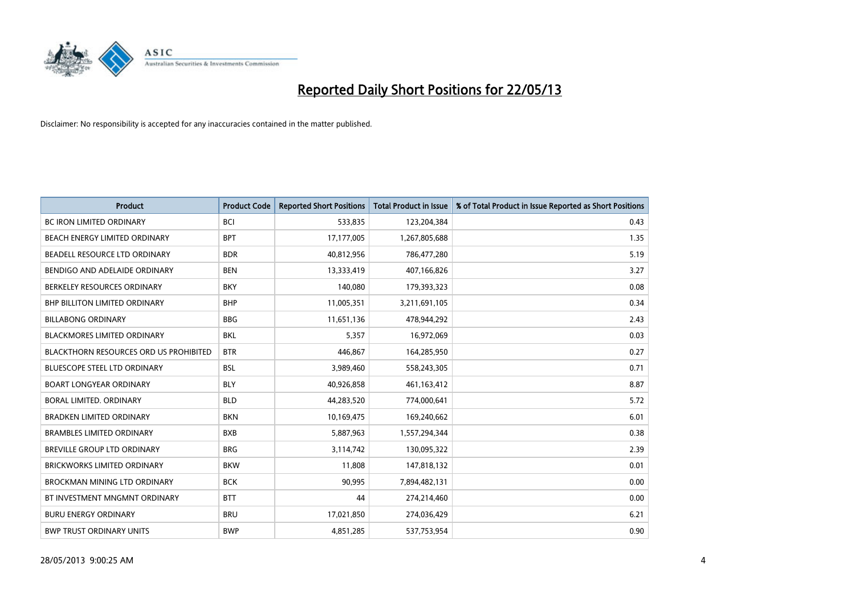

| <b>Product</b>                         | <b>Product Code</b> | <b>Reported Short Positions</b> | <b>Total Product in Issue</b> | % of Total Product in Issue Reported as Short Positions |
|----------------------------------------|---------------------|---------------------------------|-------------------------------|---------------------------------------------------------|
| <b>BC IRON LIMITED ORDINARY</b>        | <b>BCI</b>          | 533,835                         | 123,204,384                   | 0.43                                                    |
| BEACH ENERGY LIMITED ORDINARY          | <b>BPT</b>          | 17,177,005                      | 1,267,805,688                 | 1.35                                                    |
| BEADELL RESOURCE LTD ORDINARY          | <b>BDR</b>          | 40,812,956                      | 786,477,280                   | 5.19                                                    |
| BENDIGO AND ADELAIDE ORDINARY          | <b>BEN</b>          | 13,333,419                      | 407,166,826                   | 3.27                                                    |
| BERKELEY RESOURCES ORDINARY            | <b>BKY</b>          | 140,080                         | 179,393,323                   | 0.08                                                    |
| <b>BHP BILLITON LIMITED ORDINARY</b>   | <b>BHP</b>          | 11,005,351                      | 3,211,691,105                 | 0.34                                                    |
| <b>BILLABONG ORDINARY</b>              | <b>BBG</b>          | 11,651,136                      | 478,944,292                   | 2.43                                                    |
| <b>BLACKMORES LIMITED ORDINARY</b>     | <b>BKL</b>          | 5,357                           | 16,972,069                    | 0.03                                                    |
| BLACKTHORN RESOURCES ORD US PROHIBITED | <b>BTR</b>          | 446,867                         | 164,285,950                   | 0.27                                                    |
| <b>BLUESCOPE STEEL LTD ORDINARY</b>    | <b>BSL</b>          | 3,989,460                       | 558,243,305                   | 0.71                                                    |
| <b>BOART LONGYEAR ORDINARY</b>         | <b>BLY</b>          | 40,926,858                      | 461,163,412                   | 8.87                                                    |
| BORAL LIMITED, ORDINARY                | <b>BLD</b>          | 44,283,520                      | 774,000,641                   | 5.72                                                    |
| <b>BRADKEN LIMITED ORDINARY</b>        | <b>BKN</b>          | 10,169,475                      | 169,240,662                   | 6.01                                                    |
| <b>BRAMBLES LIMITED ORDINARY</b>       | <b>BXB</b>          | 5,887,963                       | 1,557,294,344                 | 0.38                                                    |
| <b>BREVILLE GROUP LTD ORDINARY</b>     | <b>BRG</b>          | 3,114,742                       | 130,095,322                   | 2.39                                                    |
| BRICKWORKS LIMITED ORDINARY            | <b>BKW</b>          | 11,808                          | 147,818,132                   | 0.01                                                    |
| <b>BROCKMAN MINING LTD ORDINARY</b>    | <b>BCK</b>          | 90,995                          | 7,894,482,131                 | 0.00                                                    |
| BT INVESTMENT MNGMNT ORDINARY          | <b>BTT</b>          | 44                              | 274,214,460                   | 0.00                                                    |
| <b>BURU ENERGY ORDINARY</b>            | <b>BRU</b>          | 17,021,850                      | 274,036,429                   | 6.21                                                    |
| <b>BWP TRUST ORDINARY UNITS</b>        | <b>BWP</b>          | 4,851,285                       | 537,753,954                   | 0.90                                                    |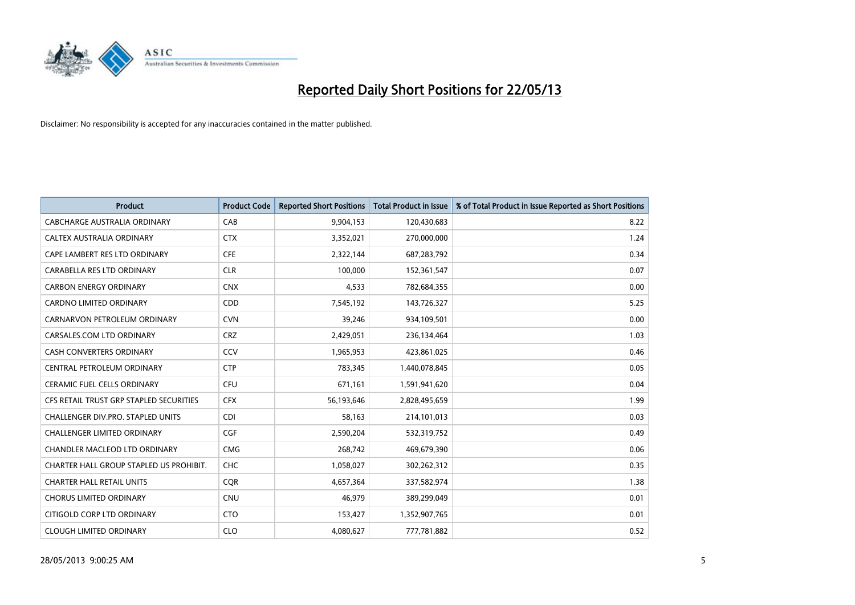

| <b>Product</b>                          | <b>Product Code</b> | <b>Reported Short Positions</b> | <b>Total Product in Issue</b> | % of Total Product in Issue Reported as Short Positions |
|-----------------------------------------|---------------------|---------------------------------|-------------------------------|---------------------------------------------------------|
| <b>CABCHARGE AUSTRALIA ORDINARY</b>     | CAB                 | 9,904,153                       | 120,430,683                   | 8.22                                                    |
| CALTEX AUSTRALIA ORDINARY               | <b>CTX</b>          | 3,352,021                       | 270,000,000                   | 1.24                                                    |
| CAPE LAMBERT RES LTD ORDINARY           | <b>CFE</b>          | 2,322,144                       | 687,283,792                   | 0.34                                                    |
| CARABELLA RES LTD ORDINARY              | <b>CLR</b>          | 100,000                         | 152,361,547                   | 0.07                                                    |
| <b>CARBON ENERGY ORDINARY</b>           | <b>CNX</b>          | 4,533                           | 782,684,355                   | 0.00                                                    |
| <b>CARDNO LIMITED ORDINARY</b>          | CDD                 | 7,545,192                       | 143,726,327                   | 5.25                                                    |
| CARNARVON PETROLEUM ORDINARY            | <b>CVN</b>          | 39,246                          | 934,109,501                   | 0.00                                                    |
| CARSALES.COM LTD ORDINARY               | <b>CRZ</b>          | 2,429,051                       | 236,134,464                   | 1.03                                                    |
| <b>CASH CONVERTERS ORDINARY</b>         | CCV                 | 1,965,953                       | 423,861,025                   | 0.46                                                    |
| CENTRAL PETROLEUM ORDINARY              | <b>CTP</b>          | 783,345                         | 1,440,078,845                 | 0.05                                                    |
| CERAMIC FUEL CELLS ORDINARY             | <b>CFU</b>          | 671,161                         | 1,591,941,620                 | 0.04                                                    |
| CFS RETAIL TRUST GRP STAPLED SECURITIES | <b>CFX</b>          | 56,193,646                      | 2,828,495,659                 | 1.99                                                    |
| CHALLENGER DIV.PRO. STAPLED UNITS       | <b>CDI</b>          | 58,163                          | 214,101,013                   | 0.03                                                    |
| <b>CHALLENGER LIMITED ORDINARY</b>      | <b>CGF</b>          | 2,590,204                       | 532,319,752                   | 0.49                                                    |
| CHANDLER MACLEOD LTD ORDINARY           | <b>CMG</b>          | 268,742                         | 469,679,390                   | 0.06                                                    |
| CHARTER HALL GROUP STAPLED US PROHIBIT. | <b>CHC</b>          | 1,058,027                       | 302,262,312                   | 0.35                                                    |
| <b>CHARTER HALL RETAIL UNITS</b>        | <b>COR</b>          | 4,657,364                       | 337,582,974                   | 1.38                                                    |
| <b>CHORUS LIMITED ORDINARY</b>          | <b>CNU</b>          | 46,979                          | 389,299,049                   | 0.01                                                    |
| CITIGOLD CORP LTD ORDINARY              | <b>CTO</b>          | 153,427                         | 1,352,907,765                 | 0.01                                                    |
| <b>CLOUGH LIMITED ORDINARY</b>          | <b>CLO</b>          | 4,080,627                       | 777,781,882                   | 0.52                                                    |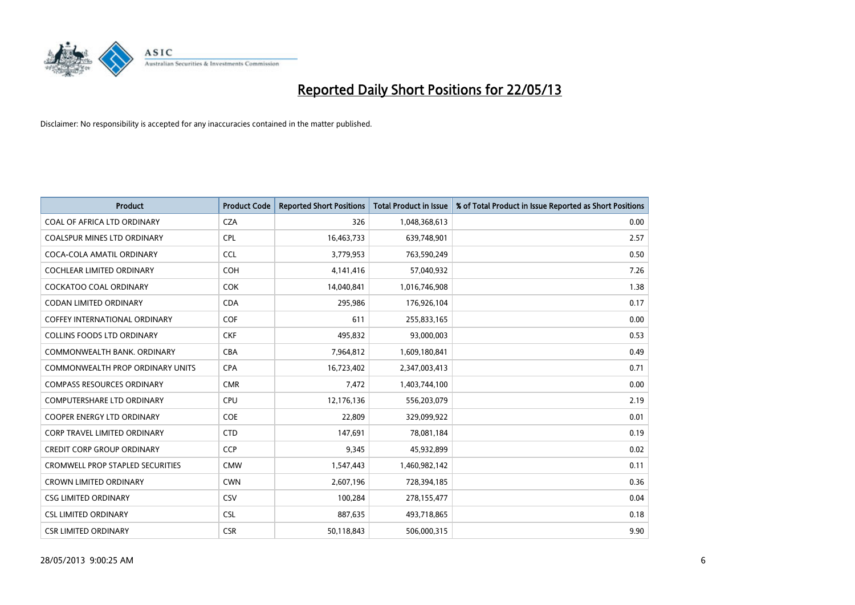

| <b>Product</b>                          | <b>Product Code</b> | <b>Reported Short Positions</b> | <b>Total Product in Issue</b> | % of Total Product in Issue Reported as Short Positions |
|-----------------------------------------|---------------------|---------------------------------|-------------------------------|---------------------------------------------------------|
| <b>COAL OF AFRICA LTD ORDINARY</b>      | <b>CZA</b>          | 326                             | 1,048,368,613                 | 0.00                                                    |
| COALSPUR MINES LTD ORDINARY             | <b>CPL</b>          | 16,463,733                      | 639,748,901                   | 2.57                                                    |
| COCA-COLA AMATIL ORDINARY               | <b>CCL</b>          | 3,779,953                       | 763,590,249                   | 0.50                                                    |
| COCHLEAR LIMITED ORDINARY               | <b>COH</b>          | 4,141,416                       | 57,040,932                    | 7.26                                                    |
| <b>COCKATOO COAL ORDINARY</b>           | <b>COK</b>          | 14,040,841                      | 1,016,746,908                 | 1.38                                                    |
| <b>CODAN LIMITED ORDINARY</b>           | <b>CDA</b>          | 295,986                         | 176,926,104                   | 0.17                                                    |
| <b>COFFEY INTERNATIONAL ORDINARY</b>    | <b>COF</b>          | 611                             | 255,833,165                   | 0.00                                                    |
| <b>COLLINS FOODS LTD ORDINARY</b>       | <b>CKF</b>          | 495,832                         | 93,000,003                    | 0.53                                                    |
| COMMONWEALTH BANK, ORDINARY             | <b>CBA</b>          | 7,964,812                       | 1,609,180,841                 | 0.49                                                    |
| COMMONWEALTH PROP ORDINARY UNITS        | <b>CPA</b>          | 16,723,402                      | 2,347,003,413                 | 0.71                                                    |
| <b>COMPASS RESOURCES ORDINARY</b>       | <b>CMR</b>          | 7,472                           | 1,403,744,100                 | 0.00                                                    |
| COMPUTERSHARE LTD ORDINARY              | <b>CPU</b>          | 12,176,136                      | 556,203,079                   | 2.19                                                    |
| <b>COOPER ENERGY LTD ORDINARY</b>       | <b>COE</b>          | 22,809                          | 329,099,922                   | 0.01                                                    |
| <b>CORP TRAVEL LIMITED ORDINARY</b>     | <b>CTD</b>          | 147,691                         | 78,081,184                    | 0.19                                                    |
| <b>CREDIT CORP GROUP ORDINARY</b>       | <b>CCP</b>          | 9,345                           | 45,932,899                    | 0.02                                                    |
| <b>CROMWELL PROP STAPLED SECURITIES</b> | <b>CMW</b>          | 1,547,443                       | 1,460,982,142                 | 0.11                                                    |
| <b>CROWN LIMITED ORDINARY</b>           | <b>CWN</b>          | 2,607,196                       | 728,394,185                   | 0.36                                                    |
| <b>CSG LIMITED ORDINARY</b>             | CSV                 | 100,284                         | 278,155,477                   | 0.04                                                    |
| <b>CSL LIMITED ORDINARY</b>             | <b>CSL</b>          | 887,635                         | 493,718,865                   | 0.18                                                    |
| <b>CSR LIMITED ORDINARY</b>             | <b>CSR</b>          | 50,118,843                      | 506,000,315                   | 9.90                                                    |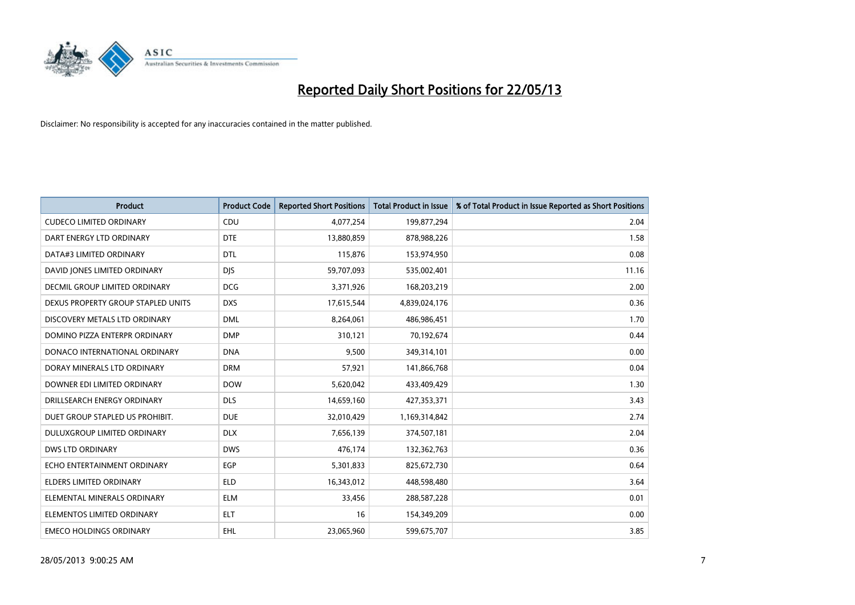

| <b>Product</b>                     | <b>Product Code</b> | <b>Reported Short Positions</b> | <b>Total Product in Issue</b> | % of Total Product in Issue Reported as Short Positions |
|------------------------------------|---------------------|---------------------------------|-------------------------------|---------------------------------------------------------|
| <b>CUDECO LIMITED ORDINARY</b>     | CDU                 | 4,077,254                       | 199,877,294                   | 2.04                                                    |
| DART ENERGY LTD ORDINARY           | <b>DTE</b>          | 13,880,859                      | 878,988,226                   | 1.58                                                    |
| DATA#3 LIMITED ORDINARY            | <b>DTL</b>          | 115,876                         | 153,974,950                   | 0.08                                                    |
| DAVID JONES LIMITED ORDINARY       | <b>DJS</b>          | 59,707,093                      | 535,002,401                   | 11.16                                                   |
| DECMIL GROUP LIMITED ORDINARY      | <b>DCG</b>          | 3,371,926                       | 168,203,219                   | 2.00                                                    |
| DEXUS PROPERTY GROUP STAPLED UNITS | <b>DXS</b>          | 17,615,544                      | 4,839,024,176                 | 0.36                                                    |
| DISCOVERY METALS LTD ORDINARY      | <b>DML</b>          | 8,264,061                       | 486,986,451                   | 1.70                                                    |
| DOMINO PIZZA ENTERPR ORDINARY      | <b>DMP</b>          | 310,121                         | 70,192,674                    | 0.44                                                    |
| DONACO INTERNATIONAL ORDINARY      | <b>DNA</b>          | 9,500                           | 349,314,101                   | 0.00                                                    |
| DORAY MINERALS LTD ORDINARY        | <b>DRM</b>          | 57,921                          | 141,866,768                   | 0.04                                                    |
| DOWNER EDI LIMITED ORDINARY        | <b>DOW</b>          | 5,620,042                       | 433,409,429                   | 1.30                                                    |
| DRILLSEARCH ENERGY ORDINARY        | <b>DLS</b>          | 14,659,160                      | 427,353,371                   | 3.43                                                    |
| DUET GROUP STAPLED US PROHIBIT.    | <b>DUE</b>          | 32,010,429                      | 1,169,314,842                 | 2.74                                                    |
| DULUXGROUP LIMITED ORDINARY        | <b>DLX</b>          | 7,656,139                       | 374,507,181                   | 2.04                                                    |
| <b>DWS LTD ORDINARY</b>            | <b>DWS</b>          | 476,174                         | 132,362,763                   | 0.36                                                    |
| ECHO ENTERTAINMENT ORDINARY        | <b>EGP</b>          | 5,301,833                       | 825,672,730                   | 0.64                                                    |
| ELDERS LIMITED ORDINARY            | <b>ELD</b>          | 16,343,012                      | 448,598,480                   | 3.64                                                    |
| ELEMENTAL MINERALS ORDINARY        | <b>ELM</b>          | 33,456                          | 288,587,228                   | 0.01                                                    |
| ELEMENTOS LIMITED ORDINARY         | <b>ELT</b>          | 16                              | 154,349,209                   | 0.00                                                    |
| <b>EMECO HOLDINGS ORDINARY</b>     | <b>EHL</b>          | 23,065,960                      | 599,675,707                   | 3.85                                                    |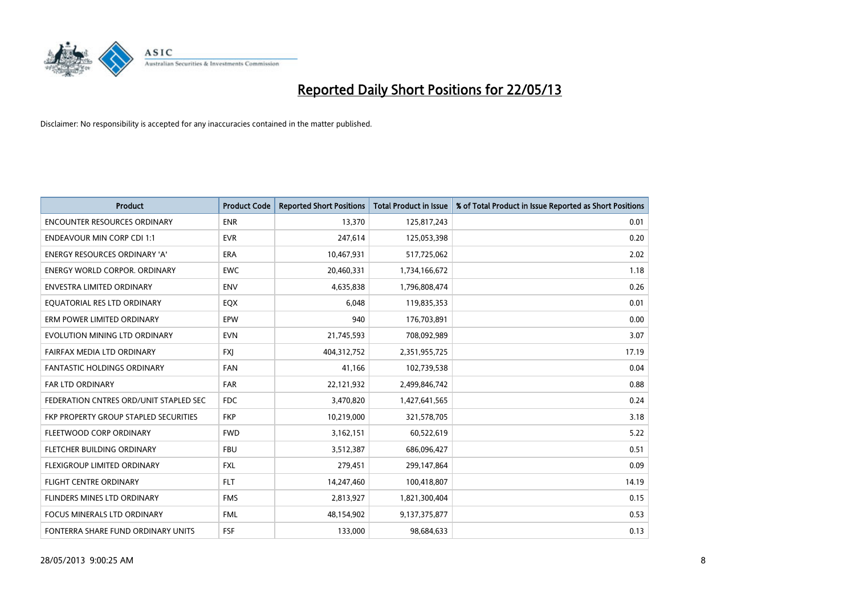

| <b>Product</b>                         | <b>Product Code</b> | <b>Reported Short Positions</b> | <b>Total Product in Issue</b> | % of Total Product in Issue Reported as Short Positions |
|----------------------------------------|---------------------|---------------------------------|-------------------------------|---------------------------------------------------------|
| <b>ENCOUNTER RESOURCES ORDINARY</b>    | <b>ENR</b>          | 13,370                          | 125,817,243                   | 0.01                                                    |
| <b>ENDEAVOUR MIN CORP CDI 1:1</b>      | <b>EVR</b>          | 247,614                         | 125,053,398                   | 0.20                                                    |
| <b>ENERGY RESOURCES ORDINARY 'A'</b>   | <b>ERA</b>          | 10,467,931                      | 517,725,062                   | 2.02                                                    |
| <b>ENERGY WORLD CORPOR. ORDINARY</b>   | <b>EWC</b>          | 20,460,331                      | 1,734,166,672                 | 1.18                                                    |
| <b>ENVESTRA LIMITED ORDINARY</b>       | <b>ENV</b>          | 4,635,838                       | 1,796,808,474                 | 0.26                                                    |
| EQUATORIAL RES LTD ORDINARY            | EQX                 | 6,048                           | 119,835,353                   | 0.01                                                    |
| ERM POWER LIMITED ORDINARY             | <b>EPW</b>          | 940                             | 176,703,891                   | 0.00                                                    |
| EVOLUTION MINING LTD ORDINARY          | <b>EVN</b>          | 21,745,593                      | 708,092,989                   | 3.07                                                    |
| FAIRFAX MEDIA LTD ORDINARY             | <b>FXI</b>          | 404,312,752                     | 2,351,955,725                 | 17.19                                                   |
| <b>FANTASTIC HOLDINGS ORDINARY</b>     | <b>FAN</b>          | 41,166                          | 102,739,538                   | 0.04                                                    |
| FAR LTD ORDINARY                       | <b>FAR</b>          | 22,121,932                      | 2,499,846,742                 | 0.88                                                    |
| FEDERATION CNTRES ORD/UNIT STAPLED SEC | <b>FDC</b>          | 3,470,820                       | 1,427,641,565                 | 0.24                                                    |
| FKP PROPERTY GROUP STAPLED SECURITIES  | <b>FKP</b>          | 10,219,000                      | 321,578,705                   | 3.18                                                    |
| FLEETWOOD CORP ORDINARY                | <b>FWD</b>          | 3,162,151                       | 60,522,619                    | 5.22                                                    |
| FLETCHER BUILDING ORDINARY             | <b>FBU</b>          | 3,512,387                       | 686,096,427                   | 0.51                                                    |
| FLEXIGROUP LIMITED ORDINARY            | <b>FXL</b>          | 279,451                         | 299,147,864                   | 0.09                                                    |
| FLIGHT CENTRE ORDINARY                 | <b>FLT</b>          | 14,247,460                      | 100,418,807                   | 14.19                                                   |
| <b>FLINDERS MINES LTD ORDINARY</b>     | <b>FMS</b>          | 2,813,927                       | 1,821,300,404                 | 0.15                                                    |
| <b>FOCUS MINERALS LTD ORDINARY</b>     | <b>FML</b>          | 48,154,902                      | 9,137,375,877                 | 0.53                                                    |
| FONTERRA SHARE FUND ORDINARY UNITS     | FSF                 | 133,000                         | 98,684,633                    | 0.13                                                    |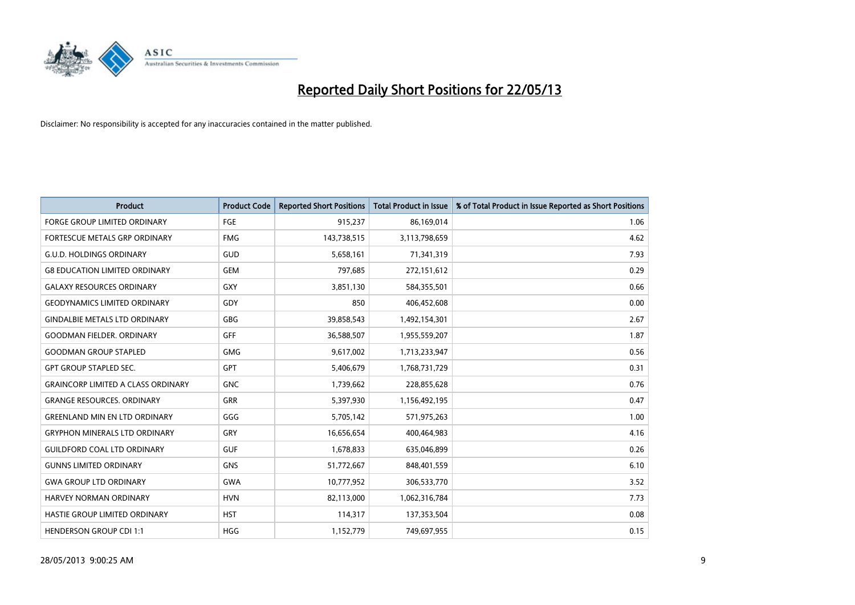

| <b>Product</b>                            | <b>Product Code</b> | <b>Reported Short Positions</b> | <b>Total Product in Issue</b> | % of Total Product in Issue Reported as Short Positions |
|-------------------------------------------|---------------------|---------------------------------|-------------------------------|---------------------------------------------------------|
| <b>FORGE GROUP LIMITED ORDINARY</b>       | FGE                 | 915,237                         | 86,169,014                    | 1.06                                                    |
| FORTESCUE METALS GRP ORDINARY             | <b>FMG</b>          | 143,738,515                     | 3,113,798,659                 | 4.62                                                    |
| <b>G.U.D. HOLDINGS ORDINARY</b>           | GUD                 | 5,658,161                       | 71,341,319                    | 7.93                                                    |
| <b>G8 EDUCATION LIMITED ORDINARY</b>      | <b>GEM</b>          | 797,685                         | 272,151,612                   | 0.29                                                    |
| <b>GALAXY RESOURCES ORDINARY</b>          | <b>GXY</b>          | 3,851,130                       | 584,355,501                   | 0.66                                                    |
| <b>GEODYNAMICS LIMITED ORDINARY</b>       | GDY                 | 850                             | 406,452,608                   | 0.00                                                    |
| <b>GINDALBIE METALS LTD ORDINARY</b>      | <b>GBG</b>          | 39,858,543                      | 1,492,154,301                 | 2.67                                                    |
| <b>GOODMAN FIELDER. ORDINARY</b>          | <b>GFF</b>          | 36,588,507                      | 1,955,559,207                 | 1.87                                                    |
| <b>GOODMAN GROUP STAPLED</b>              | <b>GMG</b>          | 9,617,002                       | 1,713,233,947                 | 0.56                                                    |
| <b>GPT GROUP STAPLED SEC.</b>             | <b>GPT</b>          | 5,406,679                       | 1,768,731,729                 | 0.31                                                    |
| <b>GRAINCORP LIMITED A CLASS ORDINARY</b> | <b>GNC</b>          | 1,739,662                       | 228,855,628                   | 0.76                                                    |
| <b>GRANGE RESOURCES. ORDINARY</b>         | <b>GRR</b>          | 5,397,930                       | 1,156,492,195                 | 0.47                                                    |
| <b>GREENLAND MIN EN LTD ORDINARY</b>      | GGG                 | 5,705,142                       | 571,975,263                   | 1.00                                                    |
| <b>GRYPHON MINERALS LTD ORDINARY</b>      | GRY                 | 16,656,654                      | 400,464,983                   | 4.16                                                    |
| <b>GUILDFORD COAL LTD ORDINARY</b>        | <b>GUF</b>          | 1,678,833                       | 635,046,899                   | 0.26                                                    |
| <b>GUNNS LIMITED ORDINARY</b>             | <b>GNS</b>          | 51,772,667                      | 848,401,559                   | 6.10                                                    |
| <b>GWA GROUP LTD ORDINARY</b>             | <b>GWA</b>          | 10,777,952                      | 306,533,770                   | 3.52                                                    |
| HARVEY NORMAN ORDINARY                    | <b>HVN</b>          | 82,113,000                      | 1,062,316,784                 | 7.73                                                    |
| HASTIE GROUP LIMITED ORDINARY             | <b>HST</b>          | 114,317                         | 137,353,504                   | 0.08                                                    |
| <b>HENDERSON GROUP CDI 1:1</b>            | <b>HGG</b>          | 1,152,779                       | 749,697,955                   | 0.15                                                    |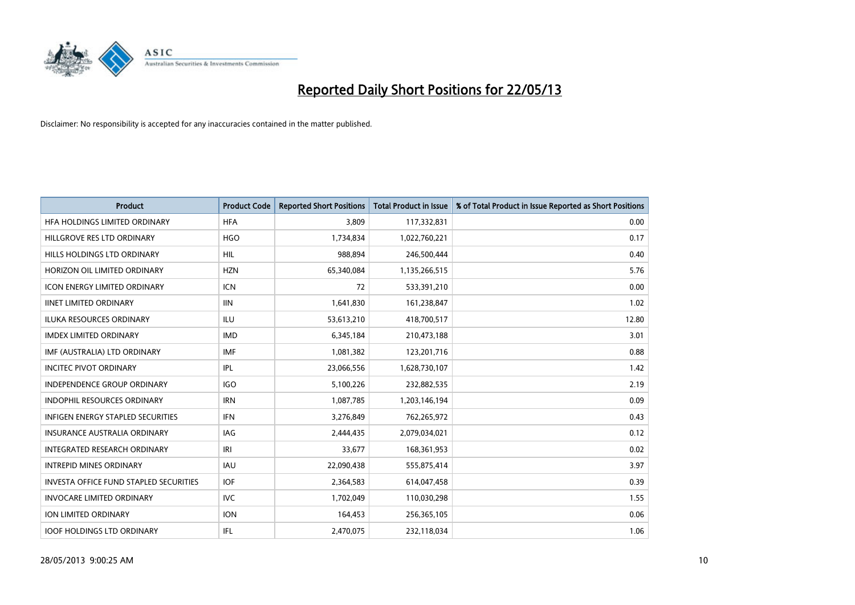

| <b>Product</b>                         | <b>Product Code</b> | <b>Reported Short Positions</b> | <b>Total Product in Issue</b> | % of Total Product in Issue Reported as Short Positions |
|----------------------------------------|---------------------|---------------------------------|-------------------------------|---------------------------------------------------------|
| HFA HOLDINGS LIMITED ORDINARY          | <b>HFA</b>          | 3,809                           | 117,332,831                   | 0.00                                                    |
| HILLGROVE RES LTD ORDINARY             | <b>HGO</b>          | 1,734,834                       | 1,022,760,221                 | 0.17                                                    |
| HILLS HOLDINGS LTD ORDINARY            | <b>HIL</b>          | 988.894                         | 246,500,444                   | 0.40                                                    |
| HORIZON OIL LIMITED ORDINARY           | <b>HZN</b>          | 65,340,084                      | 1,135,266,515                 | 5.76                                                    |
| <b>ICON ENERGY LIMITED ORDINARY</b>    | <b>ICN</b>          | 72                              | 533,391,210                   | 0.00                                                    |
| <b>IINET LIMITED ORDINARY</b>          | <b>IIN</b>          | 1,641,830                       | 161,238,847                   | 1.02                                                    |
| <b>ILUKA RESOURCES ORDINARY</b>        | ILU                 | 53,613,210                      | 418,700,517                   | 12.80                                                   |
| <b>IMDEX LIMITED ORDINARY</b>          | <b>IMD</b>          | 6,345,184                       | 210,473,188                   | 3.01                                                    |
| IMF (AUSTRALIA) LTD ORDINARY           | <b>IMF</b>          | 1,081,382                       | 123,201,716                   | 0.88                                                    |
| <b>INCITEC PIVOT ORDINARY</b>          | <b>IPL</b>          | 23,066,556                      | 1,628,730,107                 | 1.42                                                    |
| INDEPENDENCE GROUP ORDINARY            | <b>IGO</b>          | 5,100,226                       | 232,882,535                   | 2.19                                                    |
| <b>INDOPHIL RESOURCES ORDINARY</b>     | <b>IRN</b>          | 1,087,785                       | 1,203,146,194                 | 0.09                                                    |
| INFIGEN ENERGY STAPLED SECURITIES      | <b>IFN</b>          | 3,276,849                       | 762,265,972                   | 0.43                                                    |
| <b>INSURANCE AUSTRALIA ORDINARY</b>    | IAG                 | 2,444,435                       | 2,079,034,021                 | 0.12                                                    |
| <b>INTEGRATED RESEARCH ORDINARY</b>    | IRI                 | 33,677                          | 168,361,953                   | 0.02                                                    |
| <b>INTREPID MINES ORDINARY</b>         | <b>IAU</b>          | 22,090,438                      | 555,875,414                   | 3.97                                                    |
| INVESTA OFFICE FUND STAPLED SECURITIES | <b>IOF</b>          | 2,364,583                       | 614,047,458                   | 0.39                                                    |
| <b>INVOCARE LIMITED ORDINARY</b>       | IVC                 | 1,702,049                       | 110,030,298                   | 1.55                                                    |
| <b>ION LIMITED ORDINARY</b>            | <b>ION</b>          | 164,453                         | 256,365,105                   | 0.06                                                    |
| <b>IOOF HOLDINGS LTD ORDINARY</b>      | <b>IFL</b>          | 2,470,075                       | 232,118,034                   | 1.06                                                    |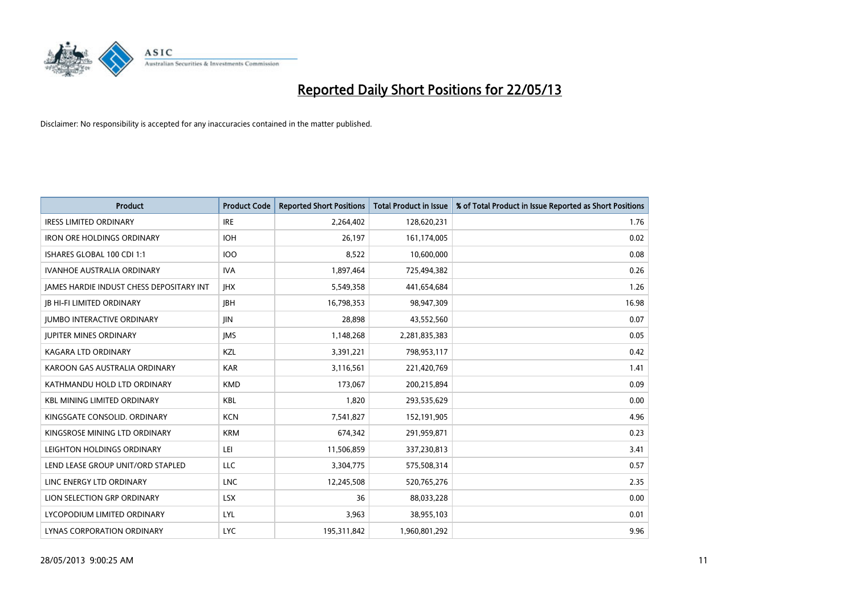

| <b>Product</b>                                  | <b>Product Code</b> | <b>Reported Short Positions</b> | <b>Total Product in Issue</b> | % of Total Product in Issue Reported as Short Positions |
|-------------------------------------------------|---------------------|---------------------------------|-------------------------------|---------------------------------------------------------|
| <b>IRESS LIMITED ORDINARY</b>                   | <b>IRE</b>          | 2,264,402                       | 128,620,231                   | 1.76                                                    |
| <b>IRON ORE HOLDINGS ORDINARY</b>               | <b>IOH</b>          | 26.197                          | 161,174,005                   | 0.02                                                    |
| ISHARES GLOBAL 100 CDI 1:1                      | 100                 | 8,522                           | 10,600,000                    | 0.08                                                    |
| <b>IVANHOE AUSTRALIA ORDINARY</b>               | <b>IVA</b>          | 1,897,464                       | 725,494,382                   | 0.26                                                    |
| <b>IAMES HARDIE INDUST CHESS DEPOSITARY INT</b> | <b>IHX</b>          | 5,549,358                       | 441,654,684                   | 1.26                                                    |
| <b>JB HI-FI LIMITED ORDINARY</b>                | <b>IBH</b>          | 16,798,353                      | 98,947,309                    | 16.98                                                   |
| <b>JUMBO INTERACTIVE ORDINARY</b>               | <b>IIN</b>          | 28,898                          | 43,552,560                    | 0.07                                                    |
| <b>JUPITER MINES ORDINARY</b>                   | <b>IMS</b>          | 1,148,268                       | 2,281,835,383                 | 0.05                                                    |
| <b>KAGARA LTD ORDINARY</b>                      | <b>KZL</b>          | 3,391,221                       | 798,953,117                   | 0.42                                                    |
| KAROON GAS AUSTRALIA ORDINARY                   | <b>KAR</b>          | 3,116,561                       | 221,420,769                   | 1.41                                                    |
| KATHMANDU HOLD LTD ORDINARY                     | <b>KMD</b>          | 173,067                         | 200,215,894                   | 0.09                                                    |
| <b>KBL MINING LIMITED ORDINARY</b>              | <b>KBL</b>          | 1,820                           | 293,535,629                   | 0.00                                                    |
| KINGSGATE CONSOLID. ORDINARY                    | <b>KCN</b>          | 7,541,827                       | 152,191,905                   | 4.96                                                    |
| KINGSROSE MINING LTD ORDINARY                   | <b>KRM</b>          | 674,342                         | 291,959,871                   | 0.23                                                    |
| LEIGHTON HOLDINGS ORDINARY                      | LEI                 | 11,506,859                      | 337,230,813                   | 3.41                                                    |
| LEND LEASE GROUP UNIT/ORD STAPLED               | <b>LLC</b>          | 3,304,775                       | 575,508,314                   | 0.57                                                    |
| LINC ENERGY LTD ORDINARY                        | <b>LNC</b>          | 12,245,508                      | 520,765,276                   | 2.35                                                    |
| LION SELECTION GRP ORDINARY                     | <b>LSX</b>          | 36                              | 88,033,228                    | 0.00                                                    |
| LYCOPODIUM LIMITED ORDINARY                     | LYL                 | 3,963                           | 38,955,103                    | 0.01                                                    |
| LYNAS CORPORATION ORDINARY                      | <b>LYC</b>          | 195,311,842                     | 1,960,801,292                 | 9.96                                                    |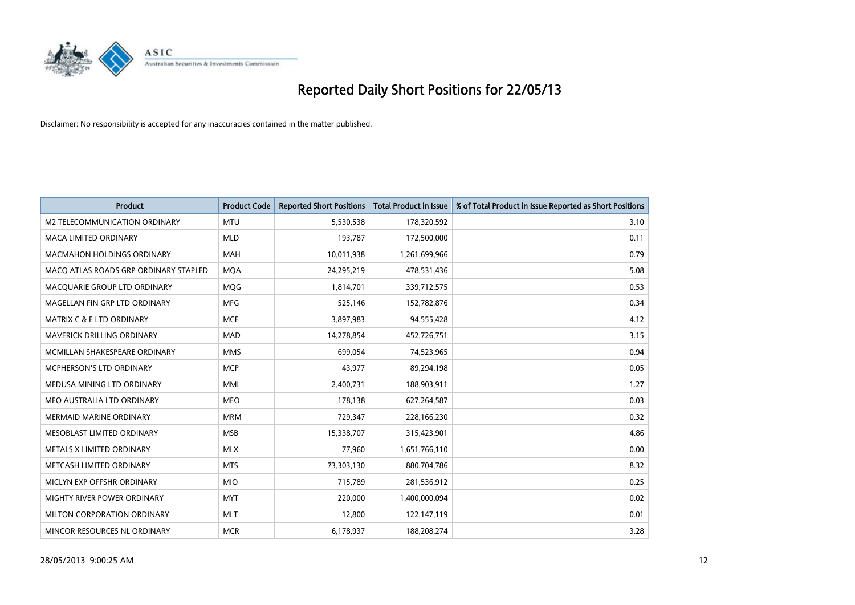

| <b>Product</b>                        | <b>Product Code</b> | <b>Reported Short Positions</b> | <b>Total Product in Issue</b> | % of Total Product in Issue Reported as Short Positions |
|---------------------------------------|---------------------|---------------------------------|-------------------------------|---------------------------------------------------------|
| M2 TELECOMMUNICATION ORDINARY         | <b>MTU</b>          | 5,530,538                       | 178,320,592                   | 3.10                                                    |
| MACA LIMITED ORDINARY                 | <b>MLD</b>          | 193,787                         | 172,500,000                   | 0.11                                                    |
| <b>MACMAHON HOLDINGS ORDINARY</b>     | <b>MAH</b>          | 10,011,938                      | 1,261,699,966                 | 0.79                                                    |
| MACQ ATLAS ROADS GRP ORDINARY STAPLED | <b>MQA</b>          | 24,295,219                      | 478,531,436                   | 5.08                                                    |
| MACQUARIE GROUP LTD ORDINARY          | <b>MOG</b>          | 1,814,701                       | 339,712,575                   | 0.53                                                    |
| MAGELLAN FIN GRP LTD ORDINARY         | <b>MFG</b>          | 525,146                         | 152,782,876                   | 0.34                                                    |
| <b>MATRIX C &amp; E LTD ORDINARY</b>  | <b>MCE</b>          | 3,897,983                       | 94,555,428                    | 4.12                                                    |
| MAVERICK DRILLING ORDINARY            | <b>MAD</b>          | 14,278,854                      | 452,726,751                   | 3.15                                                    |
| MCMILLAN SHAKESPEARE ORDINARY         | <b>MMS</b>          | 699.054                         | 74,523,965                    | 0.94                                                    |
| <b>MCPHERSON'S LTD ORDINARY</b>       | <b>MCP</b>          | 43,977                          | 89,294,198                    | 0.05                                                    |
| MEDUSA MINING LTD ORDINARY            | <b>MML</b>          | 2,400,731                       | 188,903,911                   | 1.27                                                    |
| MEO AUSTRALIA LTD ORDINARY            | <b>MEO</b>          | 178,138                         | 627,264,587                   | 0.03                                                    |
| MERMAID MARINE ORDINARY               | <b>MRM</b>          | 729,347                         | 228,166,230                   | 0.32                                                    |
| MESOBLAST LIMITED ORDINARY            | <b>MSB</b>          | 15,338,707                      | 315,423,901                   | 4.86                                                    |
| METALS X LIMITED ORDINARY             | <b>MLX</b>          | 77,960                          | 1,651,766,110                 | 0.00                                                    |
| METCASH LIMITED ORDINARY              | <b>MTS</b>          | 73,303,130                      | 880,704,786                   | 8.32                                                    |
| MICLYN EXP OFFSHR ORDINARY            | <b>MIO</b>          | 715,789                         | 281,536,912                   | 0.25                                                    |
| MIGHTY RIVER POWER ORDINARY           | <b>MYT</b>          | 220,000                         | 1,400,000,094                 | 0.02                                                    |
| MILTON CORPORATION ORDINARY           | <b>MLT</b>          | 12,800                          | 122,147,119                   | 0.01                                                    |
| MINCOR RESOURCES NL ORDINARY          | <b>MCR</b>          | 6,178,937                       | 188,208,274                   | 3.28                                                    |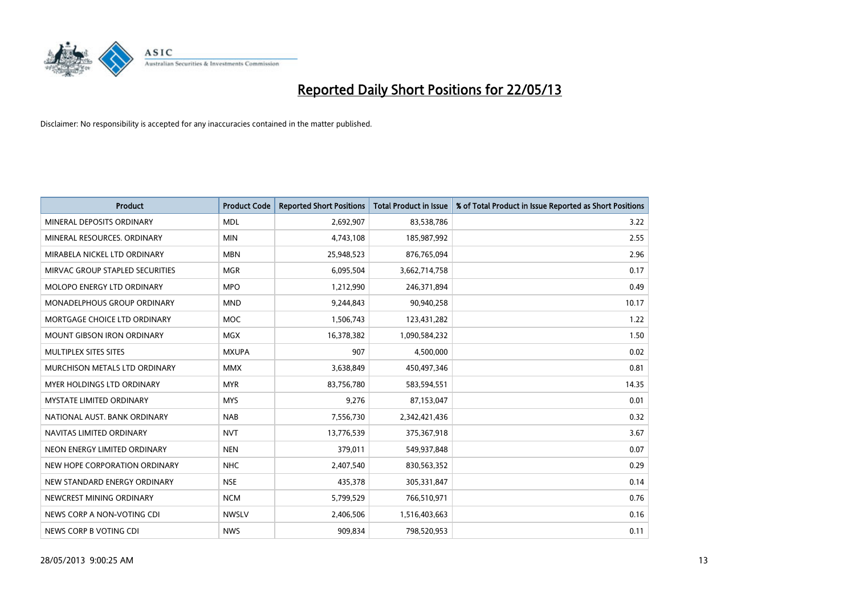

| <b>Product</b>                       | <b>Product Code</b> | <b>Reported Short Positions</b> | <b>Total Product in Issue</b> | % of Total Product in Issue Reported as Short Positions |
|--------------------------------------|---------------------|---------------------------------|-------------------------------|---------------------------------------------------------|
| MINERAL DEPOSITS ORDINARY            | <b>MDL</b>          | 2,692,907                       | 83,538,786                    | 3.22                                                    |
| MINERAL RESOURCES, ORDINARY          | <b>MIN</b>          | 4,743,108                       | 185,987,992                   | 2.55                                                    |
| MIRABELA NICKEL LTD ORDINARY         | <b>MBN</b>          | 25,948,523                      | 876,765,094                   | 2.96                                                    |
| MIRVAC GROUP STAPLED SECURITIES      | <b>MGR</b>          | 6,095,504                       | 3,662,714,758                 | 0.17                                                    |
| MOLOPO ENERGY LTD ORDINARY           | <b>MPO</b>          | 1,212,990                       | 246,371,894                   | 0.49                                                    |
| <b>MONADELPHOUS GROUP ORDINARY</b>   | <b>MND</b>          | 9,244,843                       | 90,940,258                    | 10.17                                                   |
| MORTGAGE CHOICE LTD ORDINARY         | <b>MOC</b>          | 1,506,743                       | 123,431,282                   | 1.22                                                    |
| <b>MOUNT GIBSON IRON ORDINARY</b>    | <b>MGX</b>          | 16,378,382                      | 1,090,584,232                 | 1.50                                                    |
| <b>MULTIPLEX SITES SITES</b>         | <b>MXUPA</b>        | 907                             | 4,500,000                     | 0.02                                                    |
| <b>MURCHISON METALS LTD ORDINARY</b> | <b>MMX</b>          | 3,638,849                       | 450,497,346                   | 0.81                                                    |
| <b>MYER HOLDINGS LTD ORDINARY</b>    | <b>MYR</b>          | 83,756,780                      | 583,594,551                   | 14.35                                                   |
| <b>MYSTATE LIMITED ORDINARY</b>      | <b>MYS</b>          | 9,276                           | 87,153,047                    | 0.01                                                    |
| NATIONAL AUST, BANK ORDINARY         | <b>NAB</b>          | 7,556,730                       | 2,342,421,436                 | 0.32                                                    |
| NAVITAS LIMITED ORDINARY             | <b>NVT</b>          | 13,776,539                      | 375,367,918                   | 3.67                                                    |
| NEON ENERGY LIMITED ORDINARY         | <b>NEN</b>          | 379,011                         | 549,937,848                   | 0.07                                                    |
| NEW HOPE CORPORATION ORDINARY        | <b>NHC</b>          | 2,407,540                       | 830,563,352                   | 0.29                                                    |
| NEW STANDARD ENERGY ORDINARY         | <b>NSE</b>          | 435,378                         | 305,331,847                   | 0.14                                                    |
| NEWCREST MINING ORDINARY             | <b>NCM</b>          | 5,799,529                       | 766,510,971                   | 0.76                                                    |
| NEWS CORP A NON-VOTING CDI           | <b>NWSLV</b>        | 2,406,506                       | 1,516,403,663                 | 0.16                                                    |
| NEWS CORP B VOTING CDI               | <b>NWS</b>          | 909,834                         | 798,520,953                   | 0.11                                                    |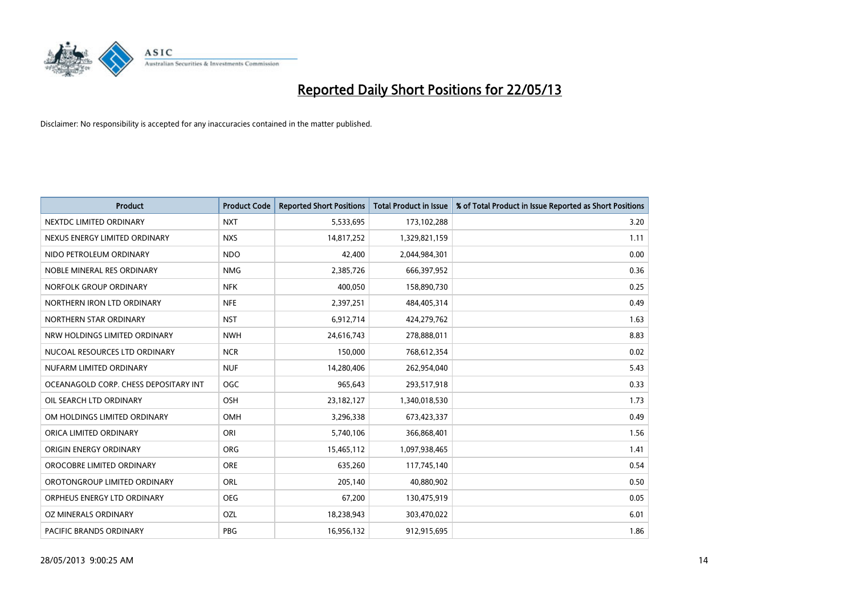

| <b>Product</b>                        | <b>Product Code</b> | <b>Reported Short Positions</b> | <b>Total Product in Issue</b> | % of Total Product in Issue Reported as Short Positions |
|---------------------------------------|---------------------|---------------------------------|-------------------------------|---------------------------------------------------------|
| NEXTDC LIMITED ORDINARY               | <b>NXT</b>          | 5,533,695                       | 173,102,288                   | 3.20                                                    |
| NEXUS ENERGY LIMITED ORDINARY         | <b>NXS</b>          | 14,817,252                      | 1,329,821,159                 | 1.11                                                    |
| NIDO PETROLEUM ORDINARY               | <b>NDO</b>          | 42,400                          | 2,044,984,301                 | 0.00                                                    |
| NOBLE MINERAL RES ORDINARY            | <b>NMG</b>          | 2,385,726                       | 666,397,952                   | 0.36                                                    |
| NORFOLK GROUP ORDINARY                | <b>NFK</b>          | 400,050                         | 158,890,730                   | 0.25                                                    |
| NORTHERN IRON LTD ORDINARY            | <b>NFE</b>          | 2,397,251                       | 484,405,314                   | 0.49                                                    |
| NORTHERN STAR ORDINARY                | <b>NST</b>          | 6,912,714                       | 424,279,762                   | 1.63                                                    |
| NRW HOLDINGS LIMITED ORDINARY         | <b>NWH</b>          | 24,616,743                      | 278,888,011                   | 8.83                                                    |
| NUCOAL RESOURCES LTD ORDINARY         | <b>NCR</b>          | 150,000                         | 768,612,354                   | 0.02                                                    |
| NUFARM LIMITED ORDINARY               | <b>NUF</b>          | 14,280,406                      | 262,954,040                   | 5.43                                                    |
| OCEANAGOLD CORP. CHESS DEPOSITARY INT | OGC                 | 965,643                         | 293,517,918                   | 0.33                                                    |
| OIL SEARCH LTD ORDINARY               | <b>OSH</b>          | 23,182,127                      | 1,340,018,530                 | 1.73                                                    |
| OM HOLDINGS LIMITED ORDINARY          | OMH                 | 3,296,338                       | 673,423,337                   | 0.49                                                    |
| ORICA LIMITED ORDINARY                | ORI                 | 5,740,106                       | 366,868,401                   | 1.56                                                    |
| ORIGIN ENERGY ORDINARY                | <b>ORG</b>          | 15,465,112                      | 1,097,938,465                 | 1.41                                                    |
| OROCOBRE LIMITED ORDINARY             | <b>ORE</b>          | 635,260                         | 117,745,140                   | 0.54                                                    |
| OROTONGROUP LIMITED ORDINARY          | ORL                 | 205,140                         | 40,880,902                    | 0.50                                                    |
| ORPHEUS ENERGY LTD ORDINARY           | <b>OEG</b>          | 67,200                          | 130,475,919                   | 0.05                                                    |
| OZ MINERALS ORDINARY                  | OZL                 | 18,238,943                      | 303,470,022                   | 6.01                                                    |
| PACIFIC BRANDS ORDINARY               | <b>PBG</b>          | 16,956,132                      | 912,915,695                   | 1.86                                                    |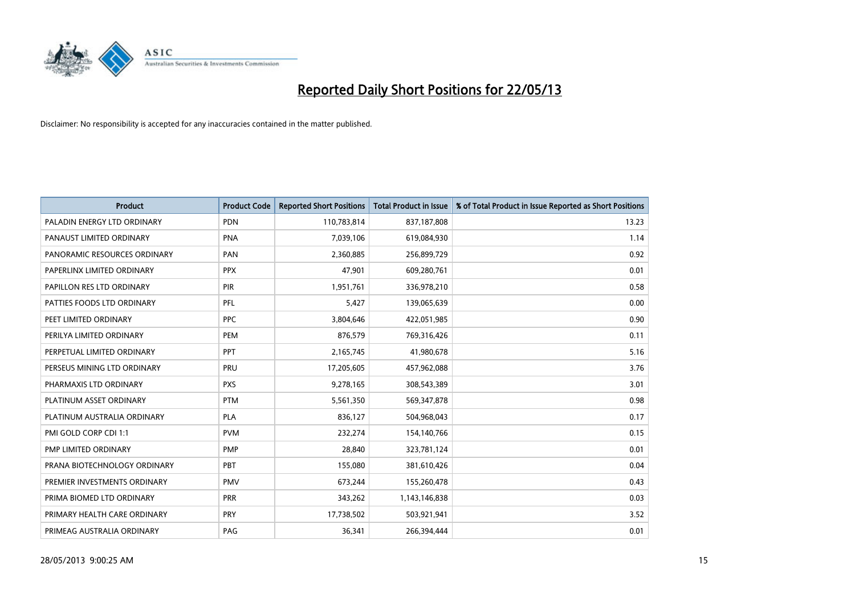

| <b>Product</b>               | <b>Product Code</b> | <b>Reported Short Positions</b> | <b>Total Product in Issue</b> | % of Total Product in Issue Reported as Short Positions |
|------------------------------|---------------------|---------------------------------|-------------------------------|---------------------------------------------------------|
| PALADIN ENERGY LTD ORDINARY  | <b>PDN</b>          | 110,783,814                     | 837,187,808                   | 13.23                                                   |
| PANAUST LIMITED ORDINARY     | PNA                 | 7,039,106                       | 619,084,930                   | 1.14                                                    |
| PANORAMIC RESOURCES ORDINARY | PAN                 | 2,360,885                       | 256,899,729                   | 0.92                                                    |
| PAPERLINX LIMITED ORDINARY   | <b>PPX</b>          | 47,901                          | 609,280,761                   | 0.01                                                    |
| PAPILLON RES LTD ORDINARY    | PIR                 | 1,951,761                       | 336,978,210                   | 0.58                                                    |
| PATTIES FOODS LTD ORDINARY   | PFL                 | 5,427                           | 139,065,639                   | 0.00                                                    |
| PEET LIMITED ORDINARY        | <b>PPC</b>          | 3,804,646                       | 422,051,985                   | 0.90                                                    |
| PERILYA LIMITED ORDINARY     | PEM                 | 876,579                         | 769,316,426                   | 0.11                                                    |
| PERPETUAL LIMITED ORDINARY   | <b>PPT</b>          | 2,165,745                       | 41,980,678                    | 5.16                                                    |
| PERSEUS MINING LTD ORDINARY  | PRU                 | 17,205,605                      | 457,962,088                   | 3.76                                                    |
| PHARMAXIS LTD ORDINARY       | <b>PXS</b>          | 9,278,165                       | 308,543,389                   | 3.01                                                    |
| PLATINUM ASSET ORDINARY      | <b>PTM</b>          | 5,561,350                       | 569,347,878                   | 0.98                                                    |
| PLATINUM AUSTRALIA ORDINARY  | <b>PLA</b>          | 836,127                         | 504,968,043                   | 0.17                                                    |
| PMI GOLD CORP CDI 1:1        | <b>PVM</b>          | 232,274                         | 154,140,766                   | 0.15                                                    |
| PMP LIMITED ORDINARY         | PMP                 | 28,840                          | 323,781,124                   | 0.01                                                    |
| PRANA BIOTECHNOLOGY ORDINARY | PBT                 | 155,080                         | 381,610,426                   | 0.04                                                    |
| PREMIER INVESTMENTS ORDINARY | <b>PMV</b>          | 673,244                         | 155,260,478                   | 0.43                                                    |
| PRIMA BIOMED LTD ORDINARY    | <b>PRR</b>          | 343,262                         | 1,143,146,838                 | 0.03                                                    |
| PRIMARY HEALTH CARE ORDINARY | <b>PRY</b>          | 17,738,502                      | 503,921,941                   | 3.52                                                    |
| PRIMEAG AUSTRALIA ORDINARY   | PAG                 | 36,341                          | 266,394,444                   | 0.01                                                    |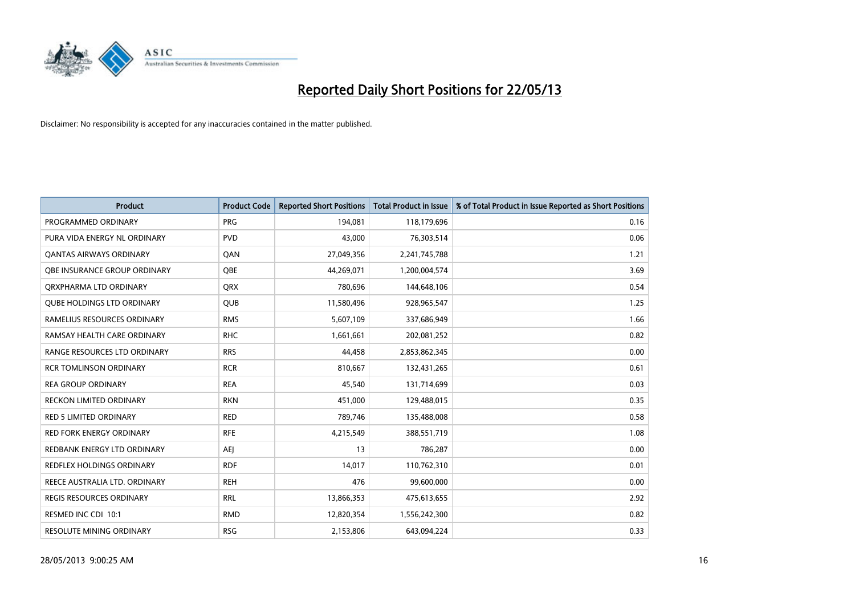

| <b>Product</b>                      | <b>Product Code</b> | <b>Reported Short Positions</b> | <b>Total Product in Issue</b> | % of Total Product in Issue Reported as Short Positions |
|-------------------------------------|---------------------|---------------------------------|-------------------------------|---------------------------------------------------------|
| PROGRAMMED ORDINARY                 | <b>PRG</b>          | 194,081                         | 118,179,696                   | 0.16                                                    |
| PURA VIDA ENERGY NL ORDINARY        | <b>PVD</b>          | 43,000                          | 76,303,514                    | 0.06                                                    |
| <b>QANTAS AIRWAYS ORDINARY</b>      | QAN                 | 27,049,356                      | 2,241,745,788                 | 1.21                                                    |
| <b>OBE INSURANCE GROUP ORDINARY</b> | <b>OBE</b>          | 44,269,071                      | 1,200,004,574                 | 3.69                                                    |
| ORXPHARMA LTD ORDINARY              | <b>ORX</b>          | 780,696                         | 144,648,106                   | 0.54                                                    |
| <b>QUBE HOLDINGS LTD ORDINARY</b>   | <b>QUB</b>          | 11,580,496                      | 928,965,547                   | 1.25                                                    |
| RAMELIUS RESOURCES ORDINARY         | <b>RMS</b>          | 5,607,109                       | 337,686,949                   | 1.66                                                    |
| RAMSAY HEALTH CARE ORDINARY         | <b>RHC</b>          | 1,661,661                       | 202,081,252                   | 0.82                                                    |
| RANGE RESOURCES LTD ORDINARY        | <b>RRS</b>          | 44,458                          | 2,853,862,345                 | 0.00                                                    |
| <b>RCR TOMLINSON ORDINARY</b>       | <b>RCR</b>          | 810,667                         | 132,431,265                   | 0.61                                                    |
| <b>REA GROUP ORDINARY</b>           | <b>REA</b>          | 45,540                          | 131,714,699                   | 0.03                                                    |
| <b>RECKON LIMITED ORDINARY</b>      | <b>RKN</b>          | 451,000                         | 129,488,015                   | 0.35                                                    |
| RED 5 LIMITED ORDINARY              | <b>RED</b>          | 789,746                         | 135,488,008                   | 0.58                                                    |
| <b>RED FORK ENERGY ORDINARY</b>     | <b>RFE</b>          | 4,215,549                       | 388,551,719                   | 1.08                                                    |
| REDBANK ENERGY LTD ORDINARY         | <b>AEJ</b>          | 13                              | 786,287                       | 0.00                                                    |
| REDFLEX HOLDINGS ORDINARY           | <b>RDF</b>          | 14,017                          | 110,762,310                   | 0.01                                                    |
| REECE AUSTRALIA LTD. ORDINARY       | <b>REH</b>          | 476                             | 99,600,000                    | 0.00                                                    |
| <b>REGIS RESOURCES ORDINARY</b>     | <b>RRL</b>          | 13,866,353                      | 475,613,655                   | 2.92                                                    |
| RESMED INC CDI 10:1                 | <b>RMD</b>          | 12,820,354                      | 1,556,242,300                 | 0.82                                                    |
| RESOLUTE MINING ORDINARY            | <b>RSG</b>          | 2,153,806                       | 643,094,224                   | 0.33                                                    |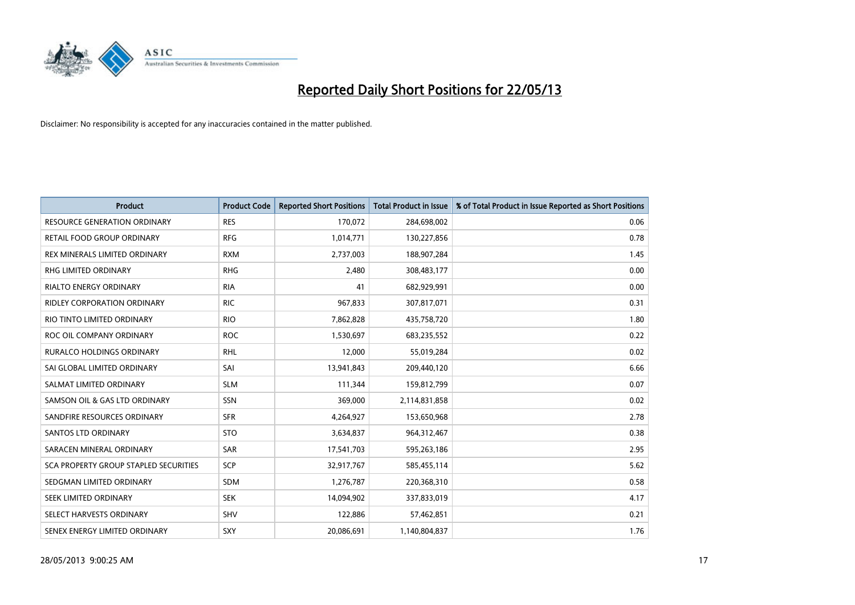

| <b>Product</b>                               | <b>Product Code</b> | <b>Reported Short Positions</b> | <b>Total Product in Issue</b> | % of Total Product in Issue Reported as Short Positions |
|----------------------------------------------|---------------------|---------------------------------|-------------------------------|---------------------------------------------------------|
| <b>RESOURCE GENERATION ORDINARY</b>          | <b>RES</b>          | 170,072                         | 284,698,002                   | 0.06                                                    |
| RETAIL FOOD GROUP ORDINARY                   | <b>RFG</b>          | 1,014,771                       | 130,227,856                   | 0.78                                                    |
| REX MINERALS LIMITED ORDINARY                | <b>RXM</b>          | 2,737,003                       | 188,907,284                   | 1.45                                                    |
| RHG LIMITED ORDINARY                         | <b>RHG</b>          | 2,480                           | 308,483,177                   | 0.00                                                    |
| <b>RIALTO ENERGY ORDINARY</b>                | <b>RIA</b>          | 41                              | 682,929,991                   | 0.00                                                    |
| <b>RIDLEY CORPORATION ORDINARY</b>           | <b>RIC</b>          | 967,833                         | 307,817,071                   | 0.31                                                    |
| RIO TINTO LIMITED ORDINARY                   | <b>RIO</b>          | 7,862,828                       | 435,758,720                   | 1.80                                                    |
| ROC OIL COMPANY ORDINARY                     | <b>ROC</b>          | 1,530,697                       | 683,235,552                   | 0.22                                                    |
| <b>RURALCO HOLDINGS ORDINARY</b>             | <b>RHL</b>          | 12,000                          | 55,019,284                    | 0.02                                                    |
| SAI GLOBAL LIMITED ORDINARY                  | SAI                 | 13,941,843                      | 209,440,120                   | 6.66                                                    |
| SALMAT LIMITED ORDINARY                      | <b>SLM</b>          | 111,344                         | 159,812,799                   | 0.07                                                    |
| SAMSON OIL & GAS LTD ORDINARY                | SSN                 | 369,000                         | 2,114,831,858                 | 0.02                                                    |
| SANDFIRE RESOURCES ORDINARY                  | <b>SFR</b>          | 4,264,927                       | 153,650,968                   | 2.78                                                    |
| <b>SANTOS LTD ORDINARY</b>                   | <b>STO</b>          | 3,634,837                       | 964,312,467                   | 0.38                                                    |
| SARACEN MINERAL ORDINARY                     | SAR                 | 17,541,703                      | 595,263,186                   | 2.95                                                    |
| <b>SCA PROPERTY GROUP STAPLED SECURITIES</b> | SCP                 | 32,917,767                      | 585,455,114                   | 5.62                                                    |
| SEDGMAN LIMITED ORDINARY                     | <b>SDM</b>          | 1,276,787                       | 220,368,310                   | 0.58                                                    |
| SEEK LIMITED ORDINARY                        | <b>SEK</b>          | 14,094,902                      | 337,833,019                   | 4.17                                                    |
| SELECT HARVESTS ORDINARY                     | SHV                 | 122,886                         | 57,462,851                    | 0.21                                                    |
| SENEX ENERGY LIMITED ORDINARY                | SXY                 | 20,086,691                      | 1,140,804,837                 | 1.76                                                    |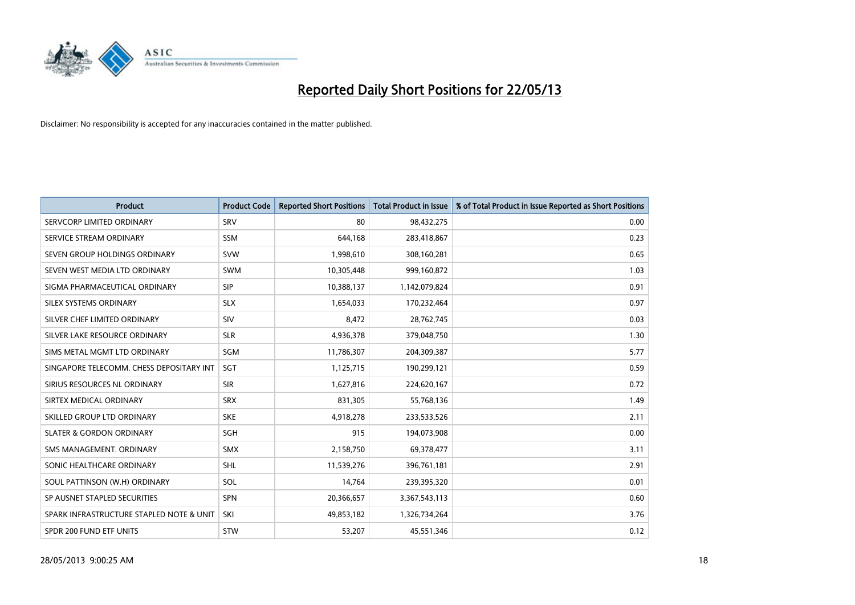

| <b>Product</b>                           | <b>Product Code</b> | <b>Reported Short Positions</b> | <b>Total Product in Issue</b> | % of Total Product in Issue Reported as Short Positions |
|------------------------------------------|---------------------|---------------------------------|-------------------------------|---------------------------------------------------------|
| SERVCORP LIMITED ORDINARY                | SRV                 | 80                              | 98,432,275                    | 0.00                                                    |
| SERVICE STREAM ORDINARY                  | <b>SSM</b>          | 644,168                         | 283,418,867                   | 0.23                                                    |
| SEVEN GROUP HOLDINGS ORDINARY            | <b>SVW</b>          | 1,998,610                       | 308,160,281                   | 0.65                                                    |
| SEVEN WEST MEDIA LTD ORDINARY            | <b>SWM</b>          | 10,305,448                      | 999,160,872                   | 1.03                                                    |
| SIGMA PHARMACEUTICAL ORDINARY            | <b>SIP</b>          | 10,388,137                      | 1,142,079,824                 | 0.91                                                    |
| SILEX SYSTEMS ORDINARY                   | <b>SLX</b>          | 1,654,033                       | 170,232,464                   | 0.97                                                    |
| SILVER CHEF LIMITED ORDINARY             | <b>SIV</b>          | 8,472                           | 28,762,745                    | 0.03                                                    |
| SILVER LAKE RESOURCE ORDINARY            | <b>SLR</b>          | 4,936,378                       | 379,048,750                   | 1.30                                                    |
| SIMS METAL MGMT LTD ORDINARY             | SGM                 | 11,786,307                      | 204,309,387                   | 5.77                                                    |
| SINGAPORE TELECOMM. CHESS DEPOSITARY INT | SGT                 | 1,125,715                       | 190,299,121                   | 0.59                                                    |
| SIRIUS RESOURCES NL ORDINARY             | <b>SIR</b>          | 1,627,816                       | 224,620,167                   | 0.72                                                    |
| SIRTEX MEDICAL ORDINARY                  | <b>SRX</b>          | 831,305                         | 55,768,136                    | 1.49                                                    |
| SKILLED GROUP LTD ORDINARY               | <b>SKE</b>          | 4,918,278                       | 233,533,526                   | 2.11                                                    |
| <b>SLATER &amp; GORDON ORDINARY</b>      | SGH                 | 915                             | 194,073,908                   | 0.00                                                    |
| SMS MANAGEMENT, ORDINARY                 | <b>SMX</b>          | 2,158,750                       | 69,378,477                    | 3.11                                                    |
| SONIC HEALTHCARE ORDINARY                | <b>SHL</b>          | 11,539,276                      | 396,761,181                   | 2.91                                                    |
| SOUL PATTINSON (W.H) ORDINARY            | SOL                 | 14,764                          | 239,395,320                   | 0.01                                                    |
| SP AUSNET STAPLED SECURITIES             | <b>SPN</b>          | 20,366,657                      | 3,367,543,113                 | 0.60                                                    |
| SPARK INFRASTRUCTURE STAPLED NOTE & UNIT | SKI                 | 49,853,182                      | 1,326,734,264                 | 3.76                                                    |
| SPDR 200 FUND ETF UNITS                  | <b>STW</b>          | 53,207                          | 45,551,346                    | 0.12                                                    |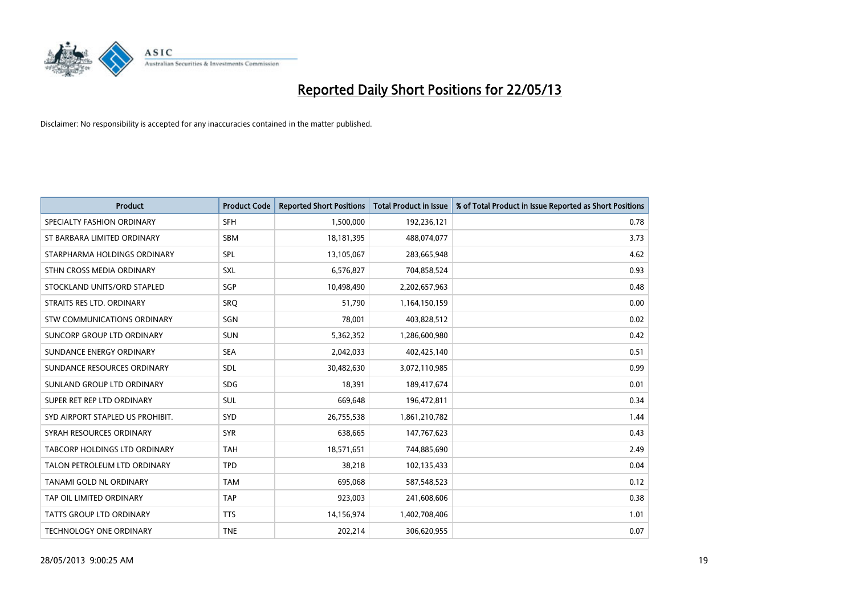

| <b>Product</b>                   | <b>Product Code</b> | <b>Reported Short Positions</b> | <b>Total Product in Issue</b> | % of Total Product in Issue Reported as Short Positions |
|----------------------------------|---------------------|---------------------------------|-------------------------------|---------------------------------------------------------|
| SPECIALTY FASHION ORDINARY       | <b>SFH</b>          | 1,500,000                       | 192,236,121                   | 0.78                                                    |
| ST BARBARA LIMITED ORDINARY      | <b>SBM</b>          | 18,181,395                      | 488,074,077                   | 3.73                                                    |
| STARPHARMA HOLDINGS ORDINARY     | <b>SPL</b>          | 13,105,067                      | 283,665,948                   | 4.62                                                    |
| STHN CROSS MEDIA ORDINARY        | <b>SXL</b>          | 6,576,827                       | 704,858,524                   | 0.93                                                    |
| STOCKLAND UNITS/ORD STAPLED      | <b>SGP</b>          | 10,498,490                      | 2,202,657,963                 | 0.48                                                    |
| STRAITS RES LTD. ORDINARY        | SRO                 | 51,790                          | 1,164,150,159                 | 0.00                                                    |
| STW COMMUNICATIONS ORDINARY      | SGN                 | 78,001                          | 403,828,512                   | 0.02                                                    |
| SUNCORP GROUP LTD ORDINARY       | <b>SUN</b>          | 5,362,352                       | 1,286,600,980                 | 0.42                                                    |
| SUNDANCE ENERGY ORDINARY         | <b>SEA</b>          | 2,042,033                       | 402,425,140                   | 0.51                                                    |
| SUNDANCE RESOURCES ORDINARY      | <b>SDL</b>          | 30,482,630                      | 3,072,110,985                 | 0.99                                                    |
| SUNLAND GROUP LTD ORDINARY       | <b>SDG</b>          | 18,391                          | 189,417,674                   | 0.01                                                    |
| SUPER RET REP LTD ORDINARY       | <b>SUL</b>          | 669,648                         | 196,472,811                   | 0.34                                                    |
| SYD AIRPORT STAPLED US PROHIBIT. | <b>SYD</b>          | 26,755,538                      | 1,861,210,782                 | 1.44                                                    |
| SYRAH RESOURCES ORDINARY         | <b>SYR</b>          | 638,665                         | 147,767,623                   | 0.43                                                    |
| TABCORP HOLDINGS LTD ORDINARY    | <b>TAH</b>          | 18,571,651                      | 744,885,690                   | 2.49                                                    |
| TALON PETROLEUM LTD ORDINARY     | <b>TPD</b>          | 38,218                          | 102,135,433                   | 0.04                                                    |
| TANAMI GOLD NL ORDINARY          | <b>TAM</b>          | 695,068                         | 587,548,523                   | 0.12                                                    |
| TAP OIL LIMITED ORDINARY         | <b>TAP</b>          | 923,003                         | 241,608,606                   | 0.38                                                    |
| <b>TATTS GROUP LTD ORDINARY</b>  | <b>TTS</b>          | 14,156,974                      | 1,402,708,406                 | 1.01                                                    |
| TECHNOLOGY ONE ORDINARY          | <b>TNE</b>          | 202,214                         | 306,620,955                   | 0.07                                                    |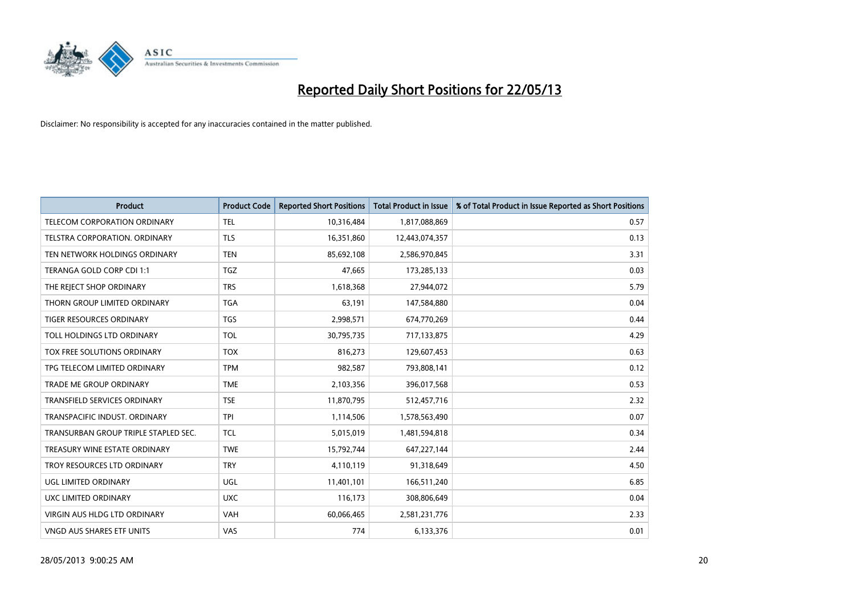

| <b>Product</b>                       | <b>Product Code</b> | <b>Reported Short Positions</b> | <b>Total Product in Issue</b> | % of Total Product in Issue Reported as Short Positions |
|--------------------------------------|---------------------|---------------------------------|-------------------------------|---------------------------------------------------------|
| <b>TELECOM CORPORATION ORDINARY</b>  | <b>TEL</b>          | 10,316,484                      | 1,817,088,869                 | 0.57                                                    |
| TELSTRA CORPORATION. ORDINARY        | <b>TLS</b>          | 16,351,860                      | 12,443,074,357                | 0.13                                                    |
| TEN NETWORK HOLDINGS ORDINARY        | <b>TEN</b>          | 85,692,108                      | 2,586,970,845                 | 3.31                                                    |
| TERANGA GOLD CORP CDI 1:1            | <b>TGZ</b>          | 47,665                          | 173,285,133                   | 0.03                                                    |
| THE REJECT SHOP ORDINARY             | <b>TRS</b>          | 1,618,368                       | 27,944,072                    | 5.79                                                    |
| THORN GROUP LIMITED ORDINARY         | <b>TGA</b>          | 63,191                          | 147,584,880                   | 0.04                                                    |
| TIGER RESOURCES ORDINARY             | <b>TGS</b>          | 2,998,571                       | 674,770,269                   | 0.44                                                    |
| TOLL HOLDINGS LTD ORDINARY           | <b>TOL</b>          | 30,795,735                      | 717,133,875                   | 4.29                                                    |
| TOX FREE SOLUTIONS ORDINARY          | <b>TOX</b>          | 816,273                         | 129,607,453                   | 0.63                                                    |
| TPG TELECOM LIMITED ORDINARY         | <b>TPM</b>          | 982,587                         | 793,808,141                   | 0.12                                                    |
| TRADE ME GROUP ORDINARY              | <b>TME</b>          | 2,103,356                       | 396,017,568                   | 0.53                                                    |
| TRANSFIELD SERVICES ORDINARY         | <b>TSE</b>          | 11,870,795                      | 512,457,716                   | 2.32                                                    |
| TRANSPACIFIC INDUST, ORDINARY        | <b>TPI</b>          | 1,114,506                       | 1,578,563,490                 | 0.07                                                    |
| TRANSURBAN GROUP TRIPLE STAPLED SEC. | <b>TCL</b>          | 5,015,019                       | 1,481,594,818                 | 0.34                                                    |
| TREASURY WINE ESTATE ORDINARY        | <b>TWE</b>          | 15,792,744                      | 647,227,144                   | 2.44                                                    |
| TROY RESOURCES LTD ORDINARY          | <b>TRY</b>          | 4,110,119                       | 91,318,649                    | 4.50                                                    |
| UGL LIMITED ORDINARY                 | UGL                 | 11,401,101                      | 166,511,240                   | 6.85                                                    |
| UXC LIMITED ORDINARY                 | <b>UXC</b>          | 116,173                         | 308,806,649                   | 0.04                                                    |
| <b>VIRGIN AUS HLDG LTD ORDINARY</b>  | <b>VAH</b>          | 60,066,465                      | 2,581,231,776                 | 2.33                                                    |
| VNGD AUS SHARES ETF UNITS            | <b>VAS</b>          | 774                             | 6,133,376                     | 0.01                                                    |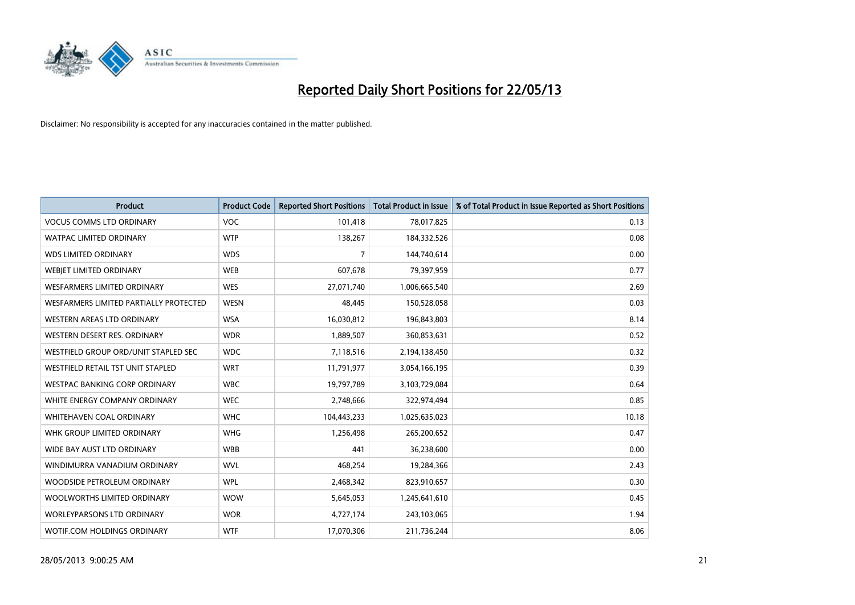

| <b>Product</b>                           | <b>Product Code</b> | <b>Reported Short Positions</b> | <b>Total Product in Issue</b> | % of Total Product in Issue Reported as Short Positions |
|------------------------------------------|---------------------|---------------------------------|-------------------------------|---------------------------------------------------------|
| <b>VOCUS COMMS LTD ORDINARY</b>          | <b>VOC</b>          | 101,418                         | 78,017,825                    | 0.13                                                    |
| <b>WATPAC LIMITED ORDINARY</b>           | <b>WTP</b>          | 138,267                         | 184,332,526                   | 0.08                                                    |
| <b>WDS LIMITED ORDINARY</b>              | <b>WDS</b>          | 7                               | 144,740,614                   | 0.00                                                    |
| WEBIET LIMITED ORDINARY                  | <b>WEB</b>          | 607,678                         | 79,397,959                    | 0.77                                                    |
| <b>WESFARMERS LIMITED ORDINARY</b>       | <b>WES</b>          | 27,071,740                      | 1,006,665,540                 | 2.69                                                    |
| WESFARMERS LIMITED PARTIALLY PROTECTED   | <b>WESN</b>         | 48.445                          | 150,528,058                   | 0.03                                                    |
| WESTERN AREAS LTD ORDINARY               | <b>WSA</b>          | 16,030,812                      | 196,843,803                   | 8.14                                                    |
| WESTERN DESERT RES. ORDINARY             | <b>WDR</b>          | 1,889,507                       | 360,853,631                   | 0.52                                                    |
| WESTFIELD GROUP ORD/UNIT STAPLED SEC     | <b>WDC</b>          | 7,118,516                       | 2,194,138,450                 | 0.32                                                    |
| <b>WESTFIELD RETAIL TST UNIT STAPLED</b> | <b>WRT</b>          | 11,791,977                      | 3,054,166,195                 | 0.39                                                    |
| <b>WESTPAC BANKING CORP ORDINARY</b>     | <b>WBC</b>          | 19,797,789                      | 3,103,729,084                 | 0.64                                                    |
| WHITE ENERGY COMPANY ORDINARY            | <b>WEC</b>          | 2,748,666                       | 322,974,494                   | 0.85                                                    |
| WHITEHAVEN COAL ORDINARY                 | <b>WHC</b>          | 104,443,233                     | 1,025,635,023                 | 10.18                                                   |
| WHK GROUP LIMITED ORDINARY               | <b>WHG</b>          | 1,256,498                       | 265,200,652                   | 0.47                                                    |
| WIDE BAY AUST LTD ORDINARY               | <b>WBB</b>          | 441                             | 36,238,600                    | 0.00                                                    |
| WINDIMURRA VANADIUM ORDINARY             | <b>WVL</b>          | 468,254                         | 19,284,366                    | 2.43                                                    |
| WOODSIDE PETROLEUM ORDINARY              | <b>WPL</b>          | 2,468,342                       | 823,910,657                   | 0.30                                                    |
| WOOLWORTHS LIMITED ORDINARY              | <b>WOW</b>          | 5,645,053                       | 1,245,641,610                 | 0.45                                                    |
| <b>WORLEYPARSONS LTD ORDINARY</b>        | <b>WOR</b>          | 4,727,174                       | 243,103,065                   | 1.94                                                    |
| <b>WOTIF.COM HOLDINGS ORDINARY</b>       | <b>WTF</b>          | 17,070,306                      | 211,736,244                   | 8.06                                                    |